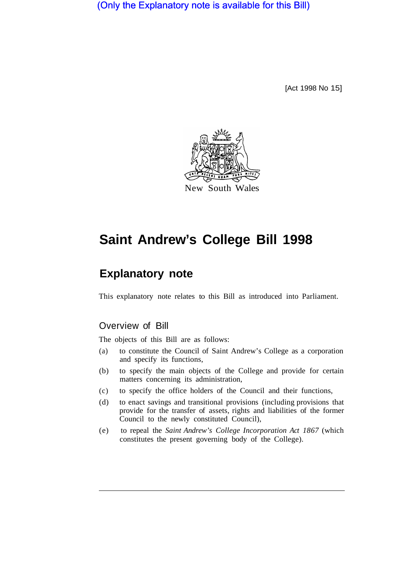(Only the Explanatory note is available for this Bill)

[Act 1998 No 15]



# **Saint Andrew's College Bill 1998**

# **Explanatory note**

This explanatory note relates to this Bill as introduced into Parliament.

# Overview of Bill

The objects of this Bill are as follows:

- (a) to constitute the Council of Saint Andrew's College as a corporation and specify its functions,
- (b) to specify the main objects of the College and provide for certain matters concerning its administration,
- (c) to specify the office holders of the Council and their functions,
- (d) to enact savings and transitional provisions (including provisions that provide for the transfer of assets, rights and liabilities of the former Council to the newly constituted Council),
- (e) to repeal the *Saint Andrew's College Incorporation Act 1867* (which constitutes the present governing body of the College).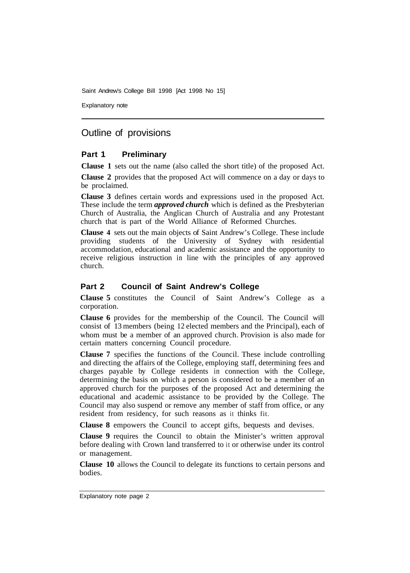Saint Andrew's College Bill 1998 [Act 1998 No 15]

Explanatory note

# Outline of provisions

#### **Part 1 Preliminary**

**Clause 1** sets out the name (also called the short title) of the proposed Act.

**Clause 2** provides that the proposed Act will commence on a day or days to be proclaimed.

**Clause 3** defines certain words and expressions used in the proposed Act. These include the term *approved church* which is defined as the Presbyterian Church of Australia, the Anglican Church of Australia and any Protestant church that is part of the World Alliance of Reformed Churches.

**Clause 4** sets out the main objects of Saint Andrew's College. These include providing students of the University of Sydney with residential accommodation, educational and academic assistance and the opportunity to receive religious instruction in line with the principles of any approved church.

#### **Part 2 Council of Saint Andrew's College**

**Clause 5** constitutes the Council of Saint Andrew's College as a corporation.

**Clause 6** provides for the membership of the Council. The Council will consist of 13 members (being 12 elected members and the Principal), each of whom must be a member of an approved church. Provision is also made for certain matters concerning Council procedure.

**Clause 7** specifies the functions of the Council. These include controlling and directing the affairs of the College, employing staff, determining fees and charges payable by College residents in connection with the College, determining the basis on which a person is considered to be a member of an approved church for the purposes of the proposed Act and determining the educational and academic assistance to be provided by the College. The Council may also suspend or remove any member of staff from office, or any resident from residency, for such reasons as it thinks fit.

**Clause 8** empowers the Council to accept gifts, bequests and devises.

**Clause 9** requires the Council to obtain the Minister's written approval before dealing with Crown land transferred to it or otherwise under its control or management.

**Clause 10** allows the Council to delegate its functions to certain persons and bodies.

Explanatory note page 2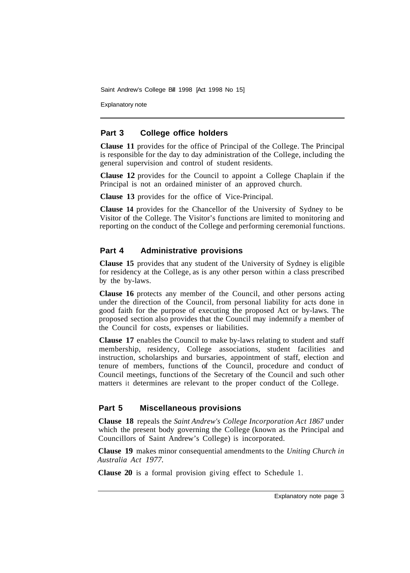Saint Andrew's College Bill 1998 [Act 1998 No 15]

Explanatory note

#### **Part 3 College office holders**

**Clause 11** provides for the office of Principal of the College. The Principal is responsible for the day to day administration of the College, including the general supervision and control of student residents.

**Clause 12** provides for the Council to appoint a College Chaplain if the Principal is not an ordained minister of an approved church.

**Clause 13** provides for the office of Vice-Principal.

**Clause 14** provides for the Chancellor of the University of Sydney to be Visitor of the College. The Visitor's functions are limited to monitoring and reporting on the conduct of the College and performing ceremonial functions.

#### **Part 4 Administrative provisions**

**Clause 15** provides that any student of the University of Sydney is eligible for residency at the College, as is any other person within a class prescribed by the by-laws.

**Clause 16** protects any member of the Council, and other persons acting under the direction of the Council, from personal liability for acts done in good faith for the purpose of executing the proposed Act or by-laws. The proposed section also provides that the Council may indemnify a member of the Council for costs, expenses or liabilities.

**Clause 17** enables the Council to make by-laws relating to student and staff membership, residency, College associations, student facilities and instruction, scholarships and bursaries, appointment of staff, election and tenure of members, functions of the Council, procedure and conduct of Council meetings, functions of the Secretary of the Council and such other matters it determines are relevant to the proper conduct of the College.

#### **Part 5 Miscellaneous provisions**

**Clause 18** repeals the *Saint Andrew's College Incorporation Act 1867* under which the present body governing the College (known as the Principal and Councillors of Saint Andrew's College) is incorporated.

**Clause 19** makes minor consequential amendments to the *Uniting Church in Australia Act 1977.* 

**Clause 20** is a formal provision giving effect to Schedule 1.